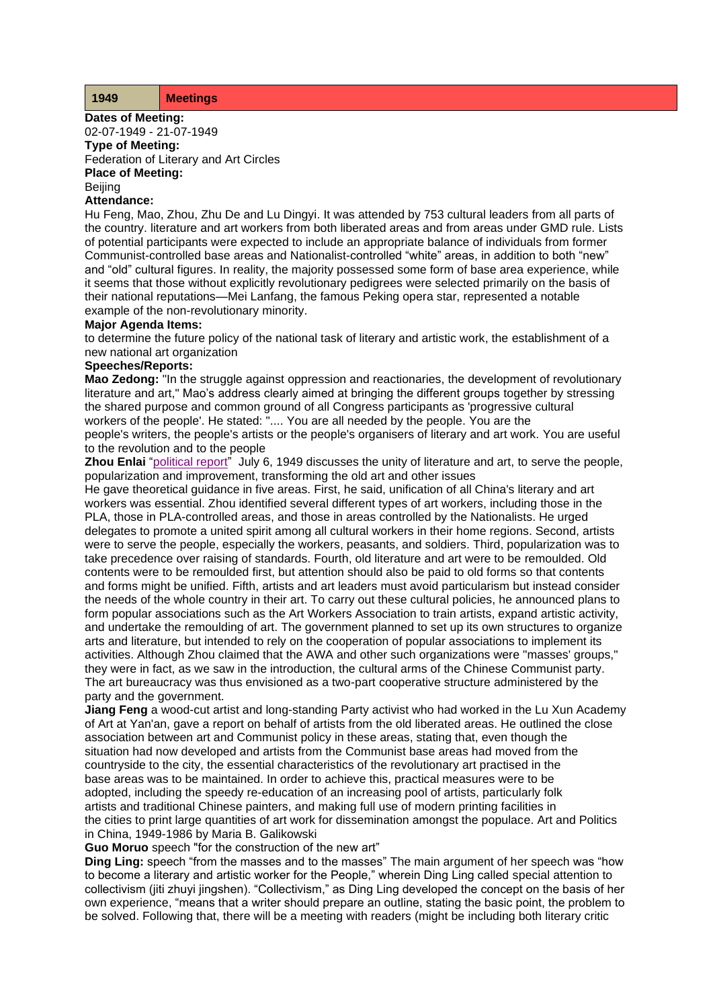| <b>Meetings</b> |
|-----------------|
|-----------------|

**Dates of Meeting:** 02-07-1949 - 21-07-1949

**Type of Meeting:** Federation of Literary and Art Circles **Place of Meeting:**

Beijing

#### **Attendance:**

Hu Feng, Mao, Zhou, Zhu De and Lu Dingyi. It was attended by 753 cultural leaders from all parts of the country. literature and art workers from both liberated areas and from areas under GMD rule. Lists of potential participants were expected to include an appropriate balance of individuals from former Communist-controlled base areas and Nationalist-controlled "white" areas, in addition to both "new" and "old" cultural figures. In reality, the majority possessed some form of base area experience, while it seems that those without explicitly revolutionary pedigrees were selected primarily on the basis of their national reputations—Mei Lanfang, the famous Peking opera star, represented a notable example of the non-revolutionary minority.

### **Major Agenda Items:**

to determine the future policy of the national task of literary and artistic work, the establishment of a new national art organization

# **Speeches/Reports:**

**Mao Zedong:** "In the struggle against oppression and reactionaries, the development of revolutionary literature and art," Mao's address clearly aimed at bringing the different groups together by stressing the shared purpose and common ground of all Congress participants as 'progressive cultural workers of the people'. He stated: ".... You are all needed by the people. You are the people's writers, the people's artists or the people's organisers of literary and art work. You are useful to the revolution and to the people

**Zhou Enlai** ["political report"](http://www.commonprogram.science/documents/report%20to%20flac.pdf) July 6, 1949 discusses the unity of literature and art, to serve the people, popularization and improvement, transforming the old art and other issues

He gave theoretical guidance in five areas. First, he said, unification of all China's literary and art workers was essential. Zhou identified several different types of art workers, including those in the PLA, those in PLA-controlled areas, and those in areas controlled by the Nationalists. He urged delegates to promote a united spirit among all cultural workers in their home regions. Second, artists were to serve the people, especially the workers, peasants, and soldiers. Third, popularization was to take precedence over raising of standards. Fourth, old literature and art were to be remoulded. Old contents were to be remoulded first, but attention should also be paid to old forms so that contents and forms might be unified. Fifth, artists and art leaders must avoid particularism but instead consider the needs of the whole country in their art. To carry out these cultural policies, he announced plans to form popular associations such as the Art Workers Association to train artists, expand artistic activity, and undertake the remoulding of art. The government planned to set up its own structures to organize arts and literature, but intended to rely on the cooperation of popular associations to implement its activities. Although Zhou claimed that the AWA and other such organizations were "masses' groups," they were in fact, as we saw in the introduction, the cultural arms of the Chinese Communist party. The art bureaucracy was thus envisioned as a two-part cooperative structure administered by the party and the government.

**Jiang Feng** a wood-cut artist and long-standing Party activist who had worked in the Lu Xun Academy of Art at Yan'an, gave a report on behalf of artists from the old liberated areas. He outlined the close association between art and Communist policy in these areas, stating that, even though the situation had now developed and artists from the Communist base areas had moved from the countryside to the city, the essential characteristics of the revolutionary art practised in the base areas was to be maintained. In order to achieve this, practical measures were to be adopted, including the speedy re-education of an increasing pool of artists, particularly folk artists and traditional Chinese painters, and making full use of modern printing facilities in the cities to print large quantities of art work for dissemination amongst the populace. Art and Politics in China, 1949-1986 by Maria B. Galikowski

**Guo Moruo** speech "for the construction of the new art"

**Ding Ling:** speech "from the masses and to the masses" The main argument of her speech was "how to become a literary and artistic worker for the People," wherein Ding Ling called special attention to collectivism (jiti zhuyi jingshen). "Collectivism," as Ding Ling developed the concept on the basis of her own experience, "means that a writer should prepare an outline, stating the basic point, the problem to be solved. Following that, there will be a meeting with readers (might be including both literary critic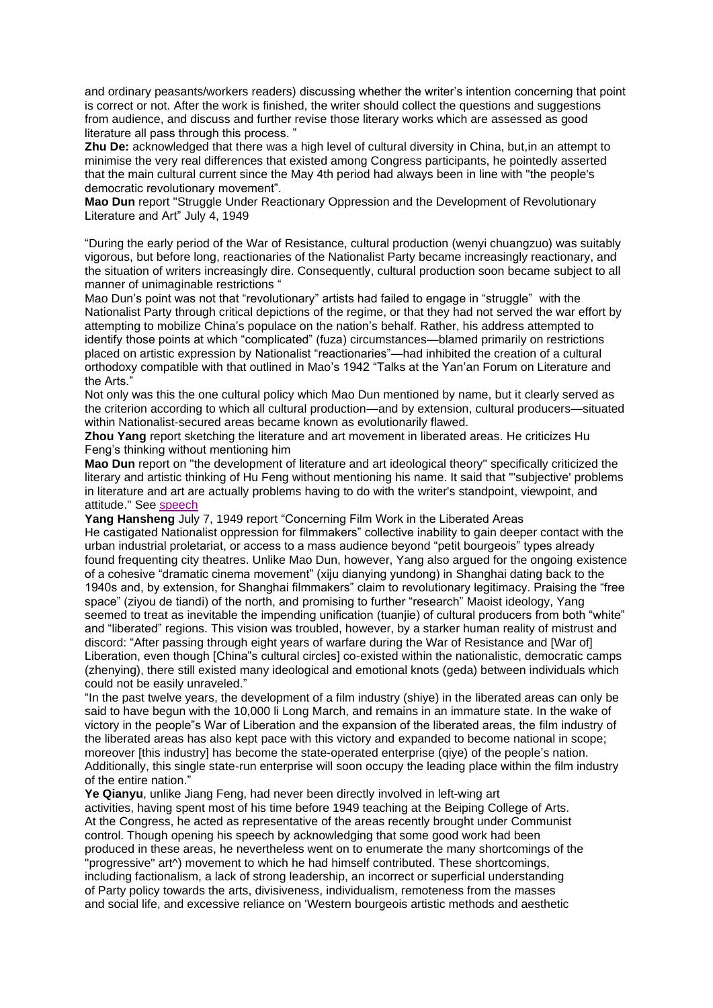and ordinary peasants/workers readers) discussing whether the writer's intention concerning that point is correct or not. After the work is finished, the writer should collect the questions and suggestions from audience, and discuss and further revise those literary works which are assessed as good literature all pass through this process.

**Zhu De:** acknowledged that there was a high level of cultural diversity in China, but,in an attempt to minimise the very real differences that existed among Congress participants, he pointedly asserted that the main cultural current since the May 4th period had always been in line with "the people's democratic revolutionary movement".

**Mao Dun** report "Struggle Under Reactionary Oppression and the Development of Revolutionary Literature and Art" July 4, 1949

"During the early period of the War of Resistance, cultural production (wenyi chuangzuo) was suitably vigorous, but before long, reactionaries of the Nationalist Party became increasingly reactionary, and the situation of writers increasingly dire. Consequently, cultural production soon became subject to all manner of unimaginable restrictions "

Mao Dun's point was not that "revolutionary" artists had failed to engage in "struggle" with the Nationalist Party through critical depictions of the regime, or that they had not served the war effort by attempting to mobilize China's populace on the nation's behalf. Rather, his address attempted to identify those points at which "complicated" (fuza) circumstances—blamed primarily on restrictions placed on artistic expression by Nationalist "reactionaries"—had inhibited the creation of a cultural orthodoxy compatible with that outlined in Mao's 1942 "Talks at the Yan'an Forum on Literature and the Arts'

Not only was this the one cultural policy which Mao Dun mentioned by name, but it clearly served as the criterion according to which all cultural production—and by extension, cultural producers—situated within Nationalist-secured areas became known as evolutionarily flawed.

**Zhou Yang** report sketching the literature and art movement in liberated areas. He criticizes Hu Feng's thinking without mentioning him

**Mao Dun** report on "the development of literature and art ideological theory" specifically criticized the literary and artistic thinking of Hu Feng without mentioning his name. It said that "'subjective' problems in literature and art are actually problems having to do with the writer's standpoint, viewpoint, and attitude." See [speech](http://www.commonprogram.science/documents/Mao%20Dun%20speech.pdf)

**Yang Hansheng** July 7, 1949 report "Concerning Film Work in the Liberated Areas He castigated Nationalist oppression for filmmakers" collective inability to gain deeper contact with the urban industrial proletariat, or access to a mass audience beyond "petit bourgeois" types already found frequenting city theatres. Unlike Mao Dun, however, Yang also argued for the ongoing existence of a cohesive "dramatic cinema movement" (xiju dianying yundong) in Shanghai dating back to the 1940s and, by extension, for Shanghai filmmakers" claim to revolutionary legitimacy. Praising the "free space" (ziyou de tiandi) of the north, and promising to further "research" Maoist ideology, Yang seemed to treat as inevitable the impending unification (tuanjie) of cultural producers from both "white" and "liberated" regions. This vision was troubled, however, by a starker human reality of mistrust and discord: "After passing through eight years of warfare during the War of Resistance and [War of] Liberation, even though [China"s cultural circles] co-existed within the nationalistic, democratic camps (zhenying), there still existed many ideological and emotional knots (geda) between individuals which could not be easily unraveled."

"In the past twelve years, the development of a film industry (shiye) in the liberated areas can only be said to have begun with the 10,000 li Long March, and remains in an immature state. In the wake of victory in the people"s War of Liberation and the expansion of the liberated areas, the film industry of the liberated areas has also kept pace with this victory and expanded to become national in scope; moreover [this industry] has become the state-operated enterprise (qiye) of the people's nation. Additionally, this single state-run enterprise will soon occupy the leading place within the film industry of the entire nation."

**Ye Qianyu**, unlike Jiang Feng, had never been directly involved in left-wing art activities, having spent most of his time before 1949 teaching at the Beiping College of Arts. At the Congress, he acted as representative of the areas recently brought under Communist control. Though opening his speech by acknowledging that some good work had been produced in these areas, he nevertheless went on to enumerate the many shortcomings of the "progressive" art^) movement to which he had himself contributed. These shortcomings, including factionalism, a lack of strong leadership, an incorrect or superficial understanding of Party policy towards the arts, divisiveness, individualism, remoteness from the masses and social life, and excessive reliance on 'Western bourgeois artistic methods and aesthetic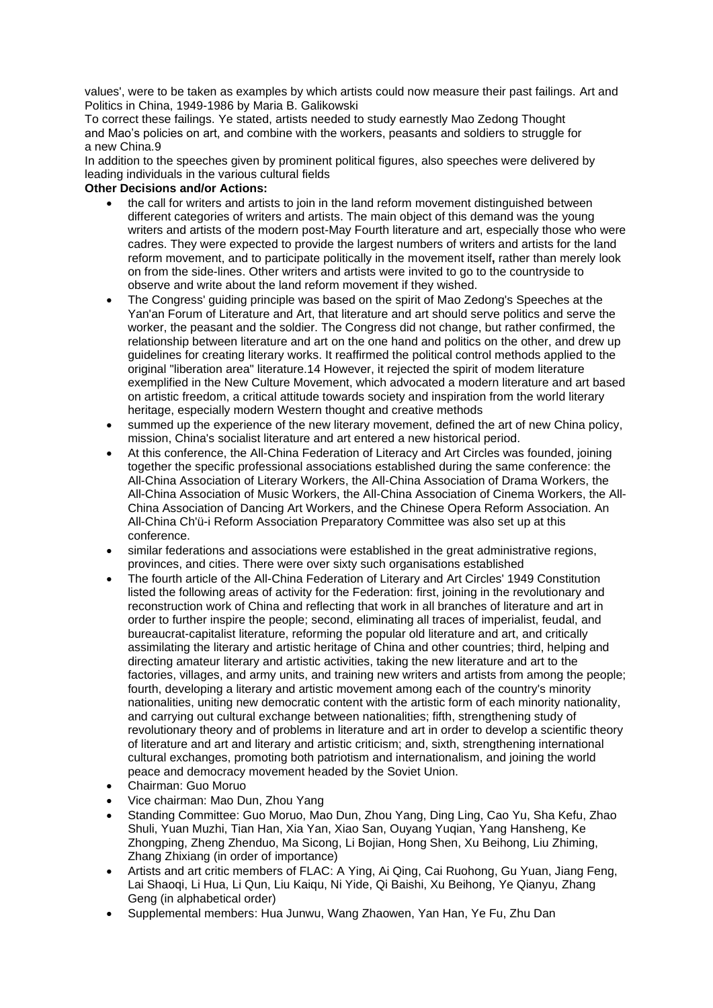values', were to be taken as examples by which artists could now measure their past failings. Art and Politics in China, 1949-1986 by Maria B. Galikowski

To correct these failings. Ye stated, artists needed to study earnestly Mao Zedong Thought and Mao's policies on art, and combine with the workers, peasants and soldiers to struggle for a new China.9

In addition to the speeches given by prominent political figures, also speeches were delivered by leading individuals in the various cultural fields

## **Other Decisions and/or Actions:**

- the call for writers and artists to join in the land reform movement distinguished between different categories of writers and artists. The main object of this demand was the young writers and artists of the modern post-May Fourth literature and art, especially those who were cadres. They were expected to provide the largest numbers of writers and artists for the land reform movement, and to participate politically in the movement itself**,** rather than merely look on from the side-lines. Other writers and artists were invited to go to the countryside to observe and write about the land reform movement if they wished.
- The Congress' guiding principle was based on the spirit of Mao Zedong's Speeches at the Yan'an Forum of Literature and Art, that literature and art should serve politics and serve the worker, the peasant and the soldier. The Congress did not change, but rather confirmed, the relationship between literature and art on the one hand and politics on the other, and drew up guidelines for creating literary works. It reaffirmed the political control methods applied to the original "liberation area" literature.14 However, it rejected the spirit of modem literature exemplified in the New Culture Movement, which advocated a modern literature and art based on artistic freedom, a critical attitude towards society and inspiration from the world literary heritage, especially modern Western thought and creative methods
- summed up the experience of the new literary movement, defined the art of new China policy, mission, China's socialist literature and art entered a new historical period.
- At this conference, the All-China Federation of Literacy and Art Circles was founded, joining together the specific professional associations established during the same conference: the All-China Association of Literary Workers, the All-China Association of Drama Workers, the All-China Association of Music Workers, the All-China Association of Cinema Workers, the All-China Association of Dancing Art Workers, and the Chinese Opera Reform Association. An All-China Ch'ü-i Reform Association Preparatory Committee was also set up at this conference.
- similar federations and associations were established in the great administrative regions, provinces, and cities. There were over sixty such organisations established
- The fourth article of the All-China Federation of Literary and Art Circles' 1949 Constitution listed the following areas of activity for the Federation: first, joining in the revolutionary and reconstruction work of China and reflecting that work in all branches of literature and art in order to further inspire the people; second, eliminating all traces of imperialist, feudal, and bureaucrat-capitalist literature, reforming the popular old literature and art, and critically assimilating the literary and artistic heritage of China and other countries; third, helping and directing amateur literary and artistic activities, taking the new literature and art to the factories, villages, and army units, and training new writers and artists from among the people; fourth, developing a literary and artistic movement among each of the country's minority nationalities, uniting new democratic content with the artistic form of each minority nationality, and carrying out cultural exchange between nationalities; fifth, strengthening study of revolutionary theory and of problems in literature and art in order to develop a scientific theory of literature and art and literary and artistic criticism; and, sixth, strengthening international cultural exchanges, promoting both patriotism and internationalism, and joining the world peace and democracy movement headed by the Soviet Union.
- Chairman: Guo Moruo
- Vice chairman: Mao Dun, Zhou Yang
- Standing Committee: Guo Moruo, Mao Dun, Zhou Yang, Ding Ling, Cao Yu, Sha Kefu, Zhao Shuli, Yuan Muzhi, Tian Han, Xia Yan, Xiao San, Ouyang Yuqian, Yang Hansheng, Ke Zhongping, Zheng Zhenduo, Ma Sicong, Li Bojian, Hong Shen, Xu Beihong, Liu Zhiming, Zhang Zhixiang (in order of importance)
- Artists and art critic members of FLAC: A Ying, Ai Qing, Cai Ruohong, Gu Yuan, Jiang Feng, Lai Shaoqi, Li Hua, Li Qun, Liu Kaiqu, Ni Yide, Qi Baishi, Xu Beihong, Ye Qianyu, Zhang Geng (in alphabetical order)
- Supplemental members: Hua Junwu, Wang Zhaowen, Yan Han, Ye Fu, Zhu Dan